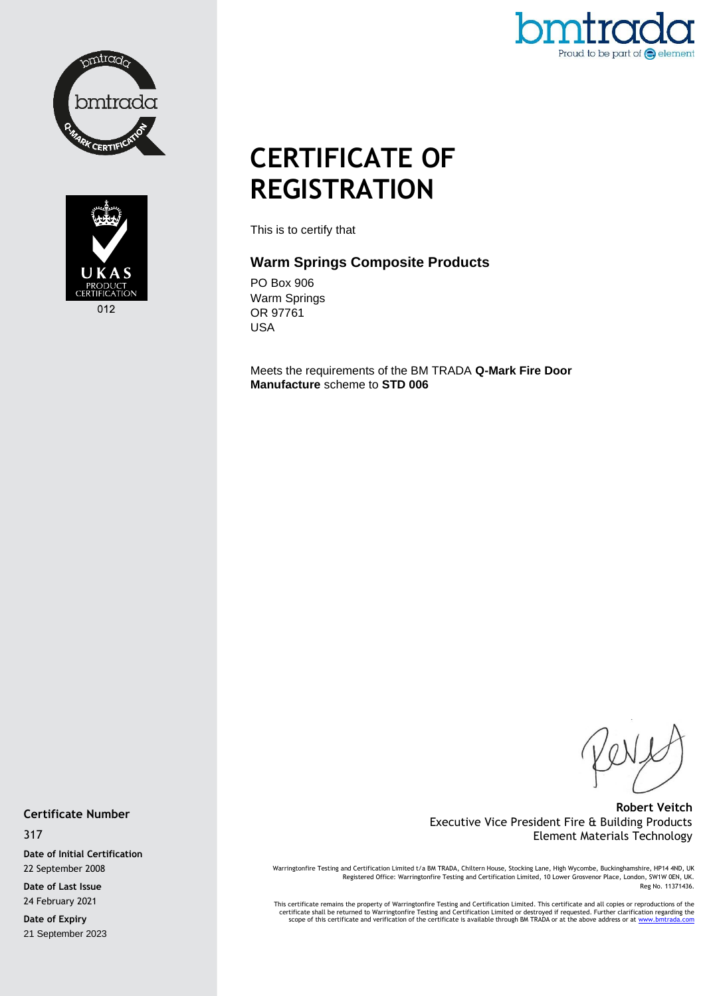



Proud to be part of  $\bigodot$  element

# **CERTIFICATE OF REGISTRATION**

This is to certify that

## **Warm Springs Composite Products**

PO Box 906 Warm Springs OR 97761 USA

Meets the requirements of the BM TRADA **Q-Mark Fire Door Manufacture** scheme to **STD 006**

## **Robert Veitch** Executive Vice President Fire & Building Products Element Materials Technology

Warringtonfire Testing and Certification Limited t/a BM TRADA, Chiltern House, Stocking Lane, High Wycombe, Buckinghamshire, HP14 4ND, UK<br>Registered Office: Warringtonfire Testing and Certification Limited, 10 Lower Grosve Reg No. 11371436.

This certificate remains the property of Warringtonfire Testing and Certification Limited. This certificate and all copies or reproductions of the<br>Certificate shall be returned to Warringtonfire Testing and Certification L

**Certificate Number**

317

**Date of Initial Certification** 22 September 2008

**Date of Last Issue** 24 February 2021

**Date of Expiry** 21 September 2023